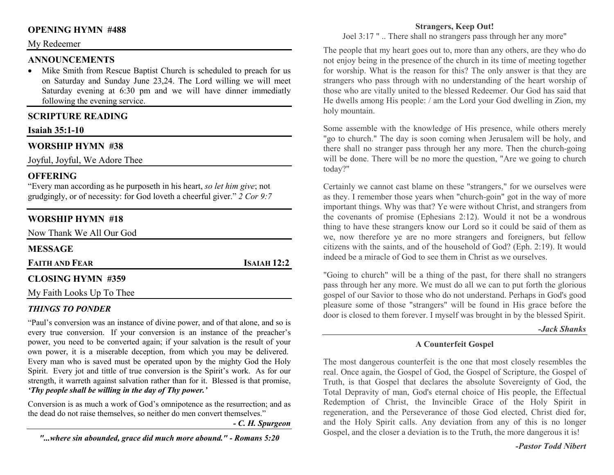## **OPENING HYMN #488**

#### My Redeemer

#### **ANNOUNCEMENTS**

 Mike Smith from Rescue Baptist Church is scheduled to preach for us •on Saturday and Sunday June 23,24. The Lord willing we will meet Saturday evening at 6:30 pm and we will have dinner immediatly following the evening service.

## **SCRIPTURE READING**

## **Isaiah 35:1-10**

## **WORSHIP HYMN #38**

Joyful, Joyful, We Adore Thee

## **OFFERING**

 "Every man according as he purposeth in his heart, *so let him give*; not grudgingly, or of necessity: for God loveth a cheerful giver." *2 Cor 9:7*

# **WORSHIP HYMN #18**

Now Thank We All Our God **MESSAGE FAITH AND FEAR<sup>I</sup>SAIAH 12:2** 

## **CLOSING HYMN #359**

My Faith Looks Up To Thee

## *THINGS TO PONDER*

 "Paul's conversion was an instance of divine power, and of that alone, and so is every true conversion. If your conversion is an instance of the preacher's power, you need to be converted again; if your salvation is the result of your own power, it is a miserable deception, from which you may be delivered. Every man who is saved must be operated upon by the mighty God the Holy Spirit. Every jot and tittle of true conversion is the Spirit's work. As for our strength, it warreth against salvation rather than for it. Blessed is that promise, *'Thy people shall be willing in the day of Thy power.'*

Conversion is as much a work of God's omnipotence as the resurrection; and as the dead do not raise themselves, so neither do men convert themselves."

*- C. H. Spurgeon* 

#### **Strangers, Keep Out!**

Joel 3:17 " .. There shall no strangers pass through her any more"

The people that my heart goes out to, more than any others, are they who do not enjoy being in the presence of the church in its time of meeting together for worship. What is the reason for this? The only answer is that they are strangers who pass through with no understanding of the heart worship of those who are vitally united to the blessed Redeemer. Our God has said that He dwells among His people: / am the Lord your God dwelling in Zion, my holy mountain.

Some assemble with the knowledge of His presence, while others merely "go to church." The day is soon coming when Jerusalem will be holy, and there shall no stranger pass through her any more. Then the church-going will be done. There will be no more the question, "Are we going to church today?"

Certainly we cannot cast blame on these "strangers," for we ourselves were as they. I remember those years when "church-goin" got in the way of more important things. Why was that? Ye were without Christ, and strangers from the covenants of promise (Ephesians 2:12). Would it not be a wondrous thing to have these strangers know our Lord so it could be said of them as we, now therefore ye are no more strangers and foreigners, but fellow citizens with the saints, and of the household of God? (Eph. 2:19). It would indeed be a miracle of God to see them in Christ as we ourselves.

"Going to church" will be a thing of the past, for there shall no strangers pass through her any more. We must do all we can to put forth the glorious gospel of our Savior to those who do not understand. Perhaps in God's good pleasure some of those "strangers" will be found in His grace before the door is closed to them forever. I myself was brought in by the blessed Spirit.

#### *-Jack Shanks*

## **A Counterfeit Gospel**

The most dangerous counterfeit is the one that most closely resembles the real. Once again, the Gospel of God, the Gospel of Scripture, the Gospel of Truth, is that Gospel that declares the absolute Sovereignty of God, the Total Depravity of man, God's eternal choice of His people, the Effectual Redemption of Christ, the Invincible Grace of the Holy Spirit in regeneration, and the Perseverance of those God elected, Christ died for, and the Holy Spirit calls. Any deviation from any of this is no longer Gospel, and the closer a deviation is to the Truth, the more dangerous it is!